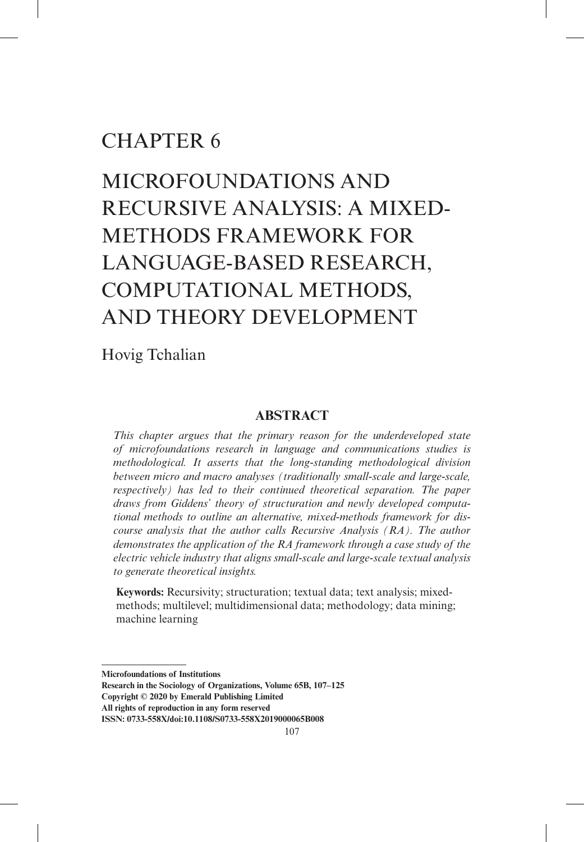## CHAPTER 6

# Microfoundations and Recursive Analysis: A Mixed-Methods Framework for Language-Based Research, Computational Methods, and Theory Development

## Hovig Tchalian

## **Abstract**

*This chapter argues that the primary reason for the underdeveloped state of microfoundations research in language and communications studies is methodological. It asserts that the long-standing methodological division between micro and macro analyses (traditionally small-scale and large-scale, respectively) has led to their continued theoretical separation. The paper draws from Giddens' theory of structuration and newly developed computational methods to outline an alternative, mixed-methods framework for discourse analysis that the author calls Recursive Analysis (RA). The author demonstrates the application of the RA framework through a case study of the electric vehicle industry that aligns small-scale and large-scale textual analysis to generate theoretical insights.*

**Keywords:** Recursivity; structuration; textual data; text analysis; mixedmethods; multilevel; multidimensional data; methodology; data mining; machine learning

**Microfoundations of Institutions**

**Research in the Sociology of Organizations, Volume 65B, 107–125 Copyright © 2020 by Emerald Publishing Limited**

**All rights of reproduction in any form reserved**

**ISSN: 0733-558X/doi:10.1108/S0733-558X2019000065B008**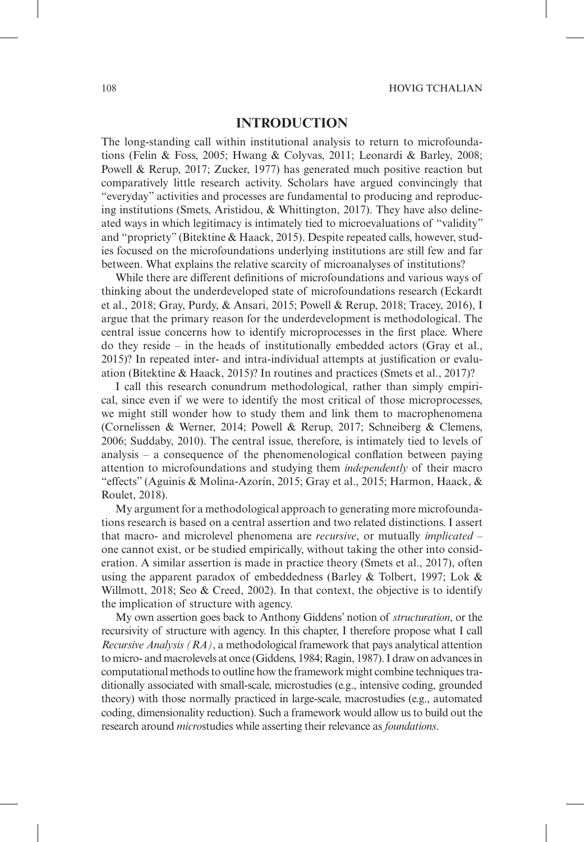#### **Introduction**

The long-standing call within institutional analysis to return to microfoundations (Felin & Foss, 2005; Hwang & Colyvas, 2011; Leonardi & Barley, 2008; Powell & Rerup, 2017; Zucker, 1977) has generated much positive reaction but comparatively little research activity. Scholars have argued convincingly that "everyday" activities and processes are fundamental to producing and reproducing institutions (Smets, Aristidou, & Whittington, 2017). They have also delineated ways in which legitimacy is intimately tied to microevaluations of "validity" and "propriety" (Bitektine & Haack, 2015). Despite repeated calls, however, studies focused on the microfoundations underlying institutions are still few and far between. What explains the relative scarcity of microanalyses of institutions?

While there are different definitions of microfoundations and various ways of thinking about the underdeveloped state of microfoundations research (Eckardt et al., 2018; Gray, Purdy, & Ansari, 2015; Powell & Rerup, 2018; Tracey, 2016), I argue that the primary reason for the underdevelopment is methodological. The central issue concerns how to identify microprocesses in the first place. Where do they reside – in the heads of institutionally embedded actors (Gray et al., 2015)? In repeated inter- and intra-individual attempts at justification or evaluation (Bitektine & Haack, 2015)? In routines and practices (Smets et al., 2017)?

I call this research conundrum methodological, rather than simply empirical, since even if we were to identify the most critical of those microprocesses, we might still wonder how to study them and link them to macrophenomena (Cornelissen & Werner, 2014; Powell & Rerup, 2017; Schneiberg & Clemens, 2006; Suddaby, 2010). The central issue, therefore, is intimately tied to levels of analysis – a consequence of the phenomenological conflation between paying attention to microfoundations and studying them *independently* of their macro "effects" (Aguinis & Molina-Azorín, 2015; Gray et al., 2015; Harmon, Haack, & Roulet, 2018).

My argument for a methodological approach to generating more microfoundations research is based on a central assertion and two related distinctions. I assert that macro- and microlevel phenomena are *recursive*, or mutually *implicated* – one cannot exist, or be studied empirically, without taking the other into consideration. A similar assertion is made in practice theory (Smets et al., 2017), often using the apparent paradox of embeddedness (Barley & Tolbert, 1997; Lok & Willmott, 2018; Seo & Creed, 2002). In that context, the objective is to identify the implication of structure with agency.

My own assertion goes back to Anthony Giddens' notion of *structuration*, or the recursivity of structure with agency. In this chapter, I therefore propose what I call *Recursive Analysis (RA)*, a methodological framework that pays analytical attention to micro- and macrolevels at once (Giddens, 1984; Ragin, 1987). I draw on advances in computational methods to outline how the framework might combine techniques traditionally associated with small-scale, microstudies (e.g., intensive coding, grounded theory) with those normally practiced in large-scale, macrostudies (e.g., automated coding, dimensionality reduction). Such a framework would allow us to build out the research around *micro*studies while asserting their relevance as *foundations*.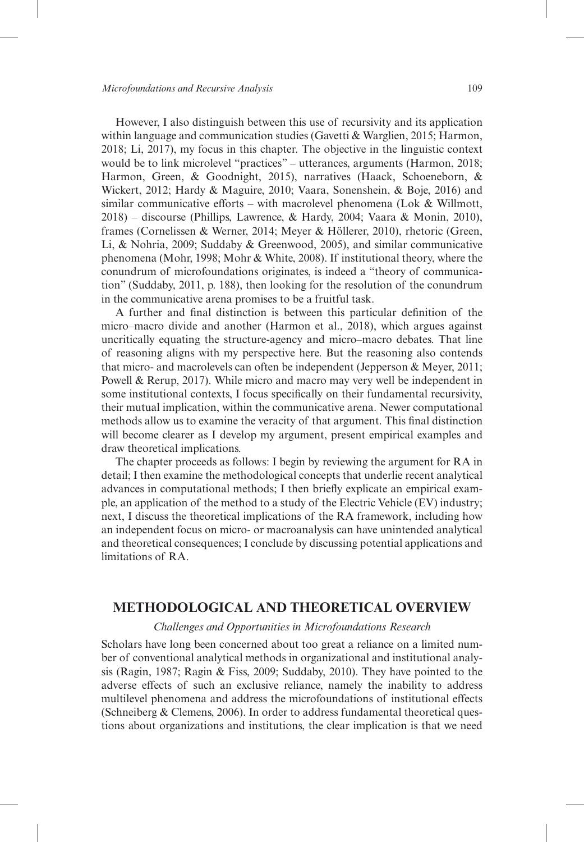However, I also distinguish between this use of recursivity and its application within language and communication studies (Gavetti & Warglien, 2015; Harmon, 2018; Li, 2017), my focus in this chapter. The objective in the linguistic context would be to link microlevel "practices" – utterances, arguments (Harmon, 2018; Harmon, Green, & Goodnight, 2015), narratives (Haack, Schoeneborn, & Wickert, 2012; Hardy & Maguire, 2010; Vaara, Sonenshein, & Boje, 2016) and similar communicative efforts – with macrolevel phenomena (Lok  $&$  Willmott, 2018) – discourse (Phillips, Lawrence, & Hardy, 2004; Vaara & Monin, 2010), frames (Cornelissen & Werner, 2014; Meyer & Höllerer, 2010), rhetoric (Green, Li, & Nohria, 2009; Suddaby & Greenwood, 2005), and similar communicative phenomena (Mohr, 1998; Mohr & White, 2008). If institutional theory, where the conundrum of microfoundations originates, is indeed a "theory of communication" (Suddaby, 2011, p. 188), then looking for the resolution of the conundrum in the communicative arena promises to be a fruitful task.

A further and final distinction is between this particular definition of the micro–macro divide and another (Harmon et al., 2018), which argues against uncritically equating the structure-agency and micro–macro debates. That line of reasoning aligns with my perspective here. But the reasoning also contends that micro- and macrolevels can often be independent (Jepperson & Meyer, 2011; Powell & Rerup, 2017). While micro and macro may very well be independent in some institutional contexts, I focus specifically on their fundamental recursivity, their mutual implication, within the communicative arena. Newer computational methods allow us to examine the veracity of that argument. This final distinction will become clearer as I develop my argument, present empirical examples and draw theoretical implications.

The chapter proceeds as follows: I begin by reviewing the argument for RA in detail; I then examine the methodological concepts that underlie recent analytical advances in computational methods; I then briefly explicate an empirical example, an application of the method to a study of the Electric Vehicle (EV) industry; next, I discuss the theoretical implications of the RA framework, including how an independent focus on micro- or macroanalysis can have unintended analytical and theoretical consequences; I conclude by discussing potential applications and limitations of RA.

## **Methodological and Theoretical Overview**

#### *Challenges and Opportunities in Microfoundations Research*

Scholars have long been concerned about too great a reliance on a limited number of conventional analytical methods in organizational and institutional analysis (Ragin, 1987; Ragin & Fiss, 2009; Suddaby, 2010). They have pointed to the adverse effects of such an exclusive reliance, namely the inability to address multilevel phenomena and address the microfoundations of institutional effects (Schneiberg & Clemens, 2006). In order to address fundamental theoretical questions about organizations and institutions, the clear implication is that we need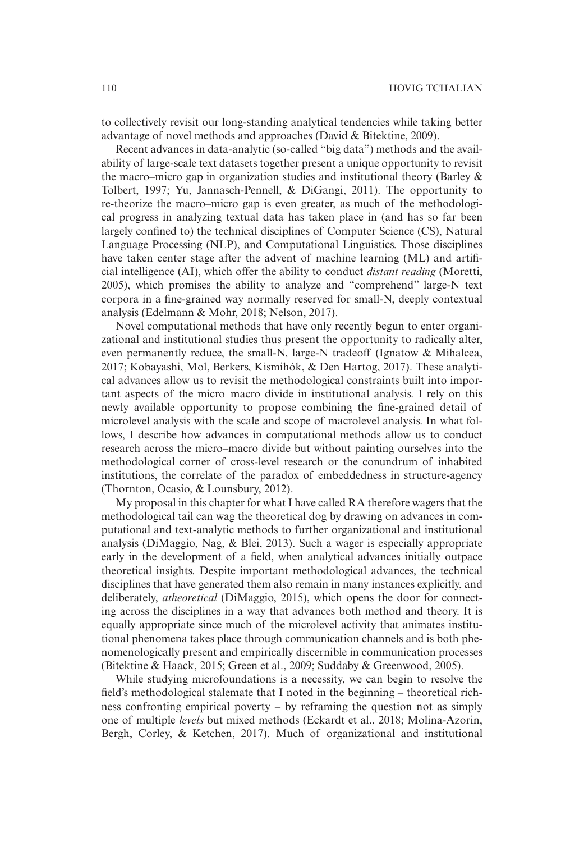to collectively revisit our long-standing analytical tendencies while taking better advantage of novel methods and approaches (David & Bitektine, 2009).

Recent advances in data-analytic (so-called "big data") methods and the availability of large-scale text datasets together present a unique opportunity to revisit the macro–micro gap in organization studies and institutional theory (Barley & Tolbert, 1997; Yu, Jannasch-Pennell, & DiGangi, 2011). The opportunity to re-theorize the macro–micro gap is even greater, as much of the methodological progress in analyzing textual data has taken place in (and has so far been largely confined to) the technical disciplines of Computer Science (CS), Natural Language Processing (NLP), and Computational Linguistics. Those disciplines have taken center stage after the advent of machine learning (ML) and artificial intelligence (AI), which offer the ability to conduct *distant reading* (Moretti, 2005), which promises the ability to analyze and "comprehend" large-N text corpora in a fine-grained way normally reserved for small-N, deeply contextual analysis (Edelmann & Mohr, 2018; Nelson, 2017).

Novel computational methods that have only recently begun to enter organizational and institutional studies thus present the opportunity to radically alter, even permanently reduce, the small-N, large-N tradeoff (Ignatow & Mihalcea, 2017; Kobayashi, Mol, Berkers, Kismihók, & Den Hartog, 2017). These analytical advances allow us to revisit the methodological constraints built into important aspects of the micro–macro divide in institutional analysis. I rely on this newly available opportunity to propose combining the fine-grained detail of microlevel analysis with the scale and scope of macrolevel analysis. In what follows, I describe how advances in computational methods allow us to conduct research across the micro–macro divide but without painting ourselves into the methodological corner of cross-level research or the conundrum of inhabited institutions, the correlate of the paradox of embeddedness in structure-agency (Thornton, Ocasio, & Lounsbury, 2012).

My proposal in this chapter for what I have called RA therefore wagers that the methodological tail can wag the theoretical dog by drawing on advances in computational and text-analytic methods to further organizational and institutional analysis (DiMaggio, Nag, & Blei, 2013). Such a wager is especially appropriate early in the development of a field, when analytical advances initially outpace theoretical insights. Despite important methodological advances, the technical disciplines that have generated them also remain in many instances explicitly, and deliberately, *atheoretical* (DiMaggio, 2015), which opens the door for connecting across the disciplines in a way that advances both method and theory. It is equally appropriate since much of the microlevel activity that animates institutional phenomena takes place through communication channels and is both phenomenologically present and empirically discernible in communication processes (Bitektine & Haack, 2015; Green et al., 2009; Suddaby & Greenwood, 2005).

While studying microfoundations is a necessity, we can begin to resolve the field's methodological stalemate that I noted in the beginning – theoretical richness confronting empirical poverty – by reframing the question not as simply one of multiple *levels* but mixed methods (Eckardt et al., 2018; Molina-Azorin, Bergh, Corley, & Ketchen, 2017). Much of organizational and institutional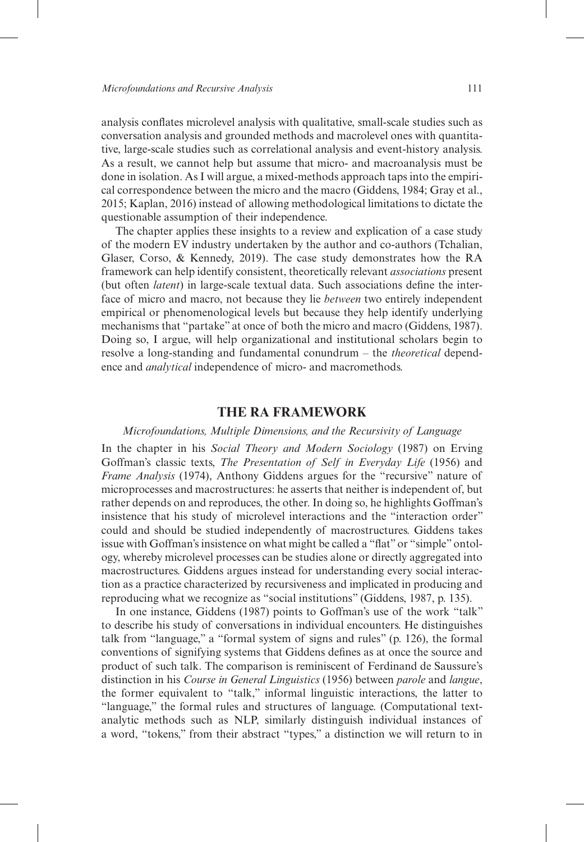analysis conflates microlevel analysis with qualitative, small-scale studies such as conversation analysis and grounded methods and macrolevel ones with quantitative, large-scale studies such as correlational analysis and event-history analysis. As a result, we cannot help but assume that micro- and macroanalysis must be done in isolation. As I will argue, a mixed-methods approach taps into the empirical correspondence between the micro and the macro (Giddens, 1984; Gray et al., 2015; Kaplan, 2016) instead of allowing methodological limitations to dictate the questionable assumption of their independence.

The chapter applies these insights to a review and explication of a case study of the modern EV industry undertaken by the author and co-authors (Tchalian, Glaser, Corso, & Kennedy, 2019). The case study demonstrates how the RA framework can help identify consistent, theoretically relevant *associations* present (but often *latent*) in large-scale textual data. Such associations define the interface of micro and macro, not because they lie *between* two entirely independent empirical or phenomenological levels but because they help identify underlying mechanisms that "partake" at once of both the micro and macro (Giddens, 1987). Doing so, I argue, will help organizational and institutional scholars begin to resolve a long-standing and fundamental conundrum – the *theoretical* dependence and *analytical* independence of micro- and macromethods.

#### **The RA Framework**

#### *Microfoundations, Multiple Dimensions, and the Recursivity of Language*

In the chapter in his *Social Theory and Modern Sociology* (1987) on Erving Goffman's classic texts, *The Presentation of Self in Everyday Life* (1956) and *Frame Analysis* (1974), Anthony Giddens argues for the "recursive" nature of microprocesses and macrostructures: he asserts that neither is independent of, but rather depends on and reproduces, the other. In doing so, he highlights Goffman's insistence that his study of microlevel interactions and the "interaction order" could and should be studied independently of macrostructures. Giddens takes issue with Goffman's insistence on what might be called a "flat" or "simple" ontology, whereby microlevel processes can be studies alone or directly aggregated into macrostructures. Giddens argues instead for understanding every social interaction as a practice characterized by recursiveness and implicated in producing and reproducing what we recognize as "social institutions" (Giddens, 1987, p. 135).

In one instance, Giddens (1987) points to Goffman's use of the work "talk" to describe his study of conversations in individual encounters. He distinguishes talk from "language," a "formal system of signs and rules" (p. 126), the formal conventions of signifying systems that Giddens defines as at once the source and product of such talk. The comparison is reminiscent of Ferdinand de Saussure's distinction in his *Course in General Linguistics* (1956) between *parole* and *langue*, the former equivalent to "talk," informal linguistic interactions, the latter to "language," the formal rules and structures of language. (Computational textanalytic methods such as NLP, similarly distinguish individual instances of a word, "tokens," from their abstract "types," a distinction we will return to in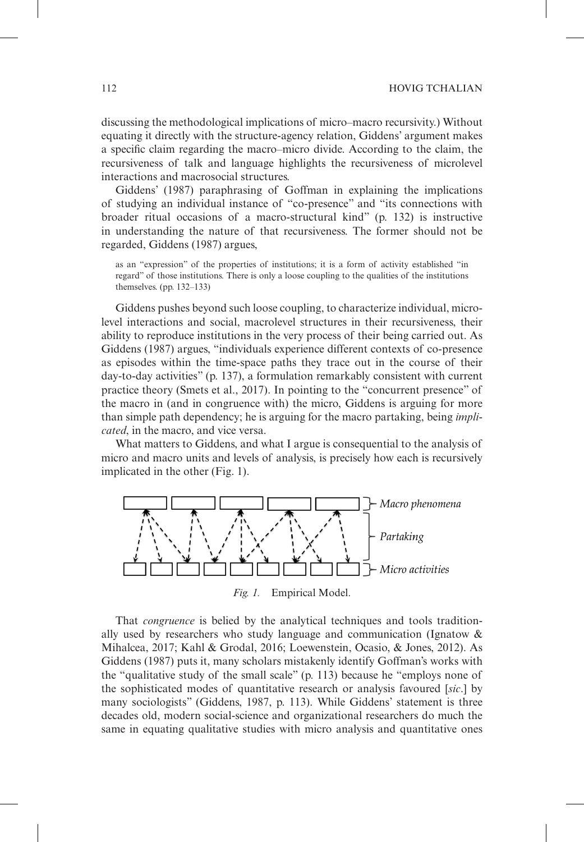discussing the methodological implications of micro–macro recursivity.) Without equating it directly with the structure-agency relation, Giddens' argument makes a specific claim regarding the macro–micro divide. According to the claim, the recursiveness of talk and language highlights the recursiveness of microlevel interactions and macrosocial structures.

Giddens' (1987) paraphrasing of Goffman in explaining the implications of studying an individual instance of "co-presence" and "its connections with broader ritual occasions of a macro-structural kind" (p. 132) is instructive in understanding the nature of that recursiveness. The former should not be regarded, Giddens (1987) argues,

as an "expression" of the properties of institutions; it is a form of activity established "in regard" of those institutions. There is only a loose coupling to the qualities of the institutions themselves. (pp. 132–133)

Giddens pushes beyond such loose coupling, to characterize individual, microlevel interactions and social, macrolevel structures in their recursiveness, their ability to reproduce institutions in the very process of their being carried out. As Giddens (1987) argues, "individuals experience different contexts of co-presence as episodes within the time-space paths they trace out in the course of their day-to-day activities" (p. 137), a formulation remarkably consistent with current practice theory (Smets et al., 2017). In pointing to the "concurrent presence" of the macro in (and in congruence with) the micro, Giddens is arguing for more than simple path dependency; he is arguing for the macro partaking, being *implicated*, in the macro, and vice versa.

What matters to Giddens, and what I argue is consequential to the analysis of micro and macro units and levels of analysis, is precisely how each is recursively implicated in the other (Fig. 1).



That *congruence* is belied by the analytical techniques and tools traditionally used by researchers who study language and communication (Ignatow & Mihalcea, 2017; Kahl & Grodal, 2016; Loewenstein, Ocasio, & Jones, 2012). As Giddens (1987) puts it, many scholars mistakenly identify Goffman's works with the "qualitative study of the small scale" (p. 113) because he "employs none of the sophisticated modes of quantitative research or analysis favoured [*sic*.] by many sociologists" (Giddens, 1987, p. 113). While Giddens' statement is three decades old, modern social-science and organizational researchers do much the same in equating qualitative studies with micro analysis and quantitative ones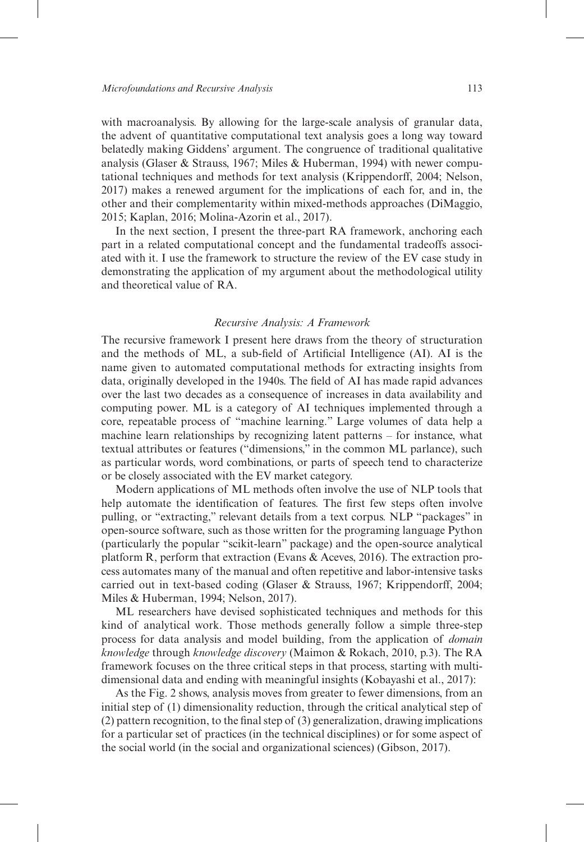with macroanalysis. By allowing for the large-scale analysis of granular data, the advent of quantitative computational text analysis goes a long way toward belatedly making Giddens' argument. The congruence of traditional qualitative analysis (Glaser & Strauss, 1967; Miles & Huberman, 1994) with newer computational techniques and methods for text analysis (Krippendorff, 2004; Nelson, 2017) makes a renewed argument for the implications of each for, and in, the other and their complementarity within mixed-methods approaches (DiMaggio, 2015; Kaplan, 2016; Molina-Azorin et al., 2017).

In the next section, I present the three-part RA framework, anchoring each part in a related computational concept and the fundamental tradeoffs associated with it. I use the framework to structure the review of the EV case study in demonstrating the application of my argument about the methodological utility and theoretical value of RA.

#### *Recursive Analysis: A Framework*

The recursive framework I present here draws from the theory of structuration and the methods of ML, a sub-field of Artificial Intelligence (AI). AI is the name given to automated computational methods for extracting insights from data, originally developed in the 1940s. The field of AI has made rapid advances over the last two decades as a consequence of increases in data availability and computing power. ML is a category of AI techniques implemented through a core, repeatable process of "machine learning." Large volumes of data help a machine learn relationships by recognizing latent patterns – for instance, what textual attributes or features ("dimensions," in the common ML parlance), such as particular words, word combinations, or parts of speech tend to characterize or be closely associated with the EV market category.

Modern applications of ML methods often involve the use of NLP tools that help automate the identification of features. The first few steps often involve pulling, or "extracting," relevant details from a text corpus. NLP "packages" in open-source software, such as those written for the programing language Python (particularly the popular "scikit-learn" package) and the open-source analytical platform R, perform that extraction (Evans & Aceves, 2016). The extraction process automates many of the manual and often repetitive and labor-intensive tasks carried out in text-based coding (Glaser & Strauss, 1967; Krippendorff, 2004; Miles & Huberman, 1994; Nelson, 2017).

ML researchers have devised sophisticated techniques and methods for this kind of analytical work. Those methods generally follow a simple three-step process for data analysis and model building, from the application of *domain knowledge* through *knowledge discovery* (Maimon & Rokach, 2010, p.3). The RA framework focuses on the three critical steps in that process, starting with multidimensional data and ending with meaningful insights (Kobayashi et al., 2017):

As the Fig. 2 shows, analysis moves from greater to fewer dimensions, from an initial step of (1) dimensionality reduction, through the critical analytical step of (2) pattern recognition, to the final step of (3) generalization, drawing implications for a particular set of practices (in the technical disciplines) or for some aspect of the social world (in the social and organizational sciences) (Gibson, 2017).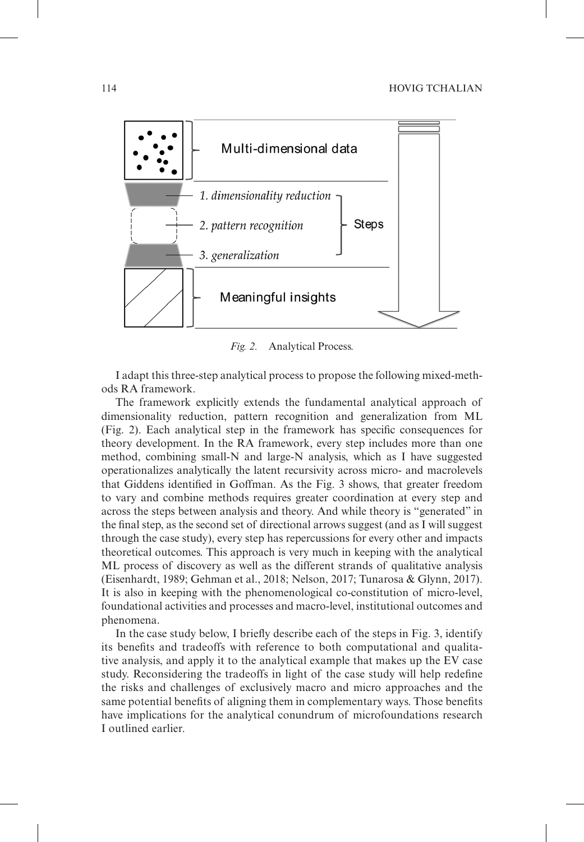

*Fig. 2.* Analytical Process.

I adapt this three-step analytical process to propose the following mixed-methods RA framework.

The framework explicitly extends the fundamental analytical approach of dimensionality reduction, pattern recognition and generalization from ML (Fig. 2). Each analytical step in the framework has specific consequences for theory development. In the RA framework, every step includes more than one method, combining small-N and large-N analysis, which as I have suggested operationalizes analytically the latent recursivity across micro- and macrolevels that Giddens identified in Goffman. As the Fig. 3 shows, that greater freedom to vary and combine methods requires greater coordination at every step and across the steps between analysis and theory. And while theory is "generated" in the final step, as the second set of directional arrows suggest (and as I will suggest through the case study), every step has repercussions for every other and impacts theoretical outcomes. This approach is very much in keeping with the analytical ML process of discovery as well as the different strands of qualitative analysis (Eisenhardt, 1989; Gehman et al., 2018; Nelson, 2017; Tunarosa & Glynn, 2017). It is also in keeping with the phenomenological co-constitution of micro-level, foundational activities and processes and macro-level, institutional outcomes and phenomena.

In the case study below, I briefly describe each of the steps in Fig. 3, identify its benefits and tradeoffs with reference to both computational and qualitative analysis, and apply it to the analytical example that makes up the EV case study. Reconsidering the tradeoffs in light of the case study will help redefine the risks and challenges of exclusively macro and micro approaches and the same potential benefits of aligning them in complementary ways. Those benefits have implications for the analytical conundrum of microfoundations research I outlined earlier.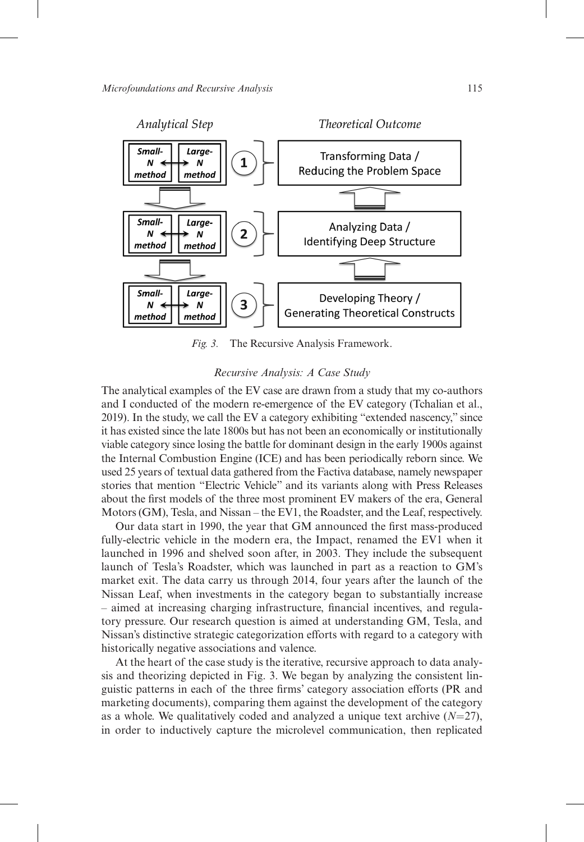

*Fig. 3.* The Recursive Analysis Framework.

#### *Recursive Analysis: A Case Study*

The analytical examples of the EV case are drawn from a study that my co-authors and I conducted of the modern re-emergence of the EV category (Tchalian et al., 2019). In the study, we call the EV a category exhibiting "extended nascency," since it has existed since the late 1800s but has not been an economically or institutionally viable category since losing the battle for dominant design in the early 1900s against the Internal Combustion Engine (ICE) and has been periodically reborn since. We used 25 years of textual data gathered from the Factiva database, namely newspaper stories that mention "Electric Vehicle" and its variants along with Press Releases about the first models of the three most prominent EV makers of the era, General Motors (GM), Tesla, and Nissan – the EV1, the Roadster, and the Leaf, respectively.

Our data start in 1990, the year that GM announced the first mass-produced fully-electric vehicle in the modern era, the Impact, renamed the EV1 when it launched in 1996 and shelved soon after, in 2003. They include the subsequent launch of Tesla's Roadster, which was launched in part as a reaction to GM's market exit. The data carry us through 2014, four years after the launch of the Nissan Leaf, when investments in the category began to substantially increase – aimed at increasing charging infrastructure, financial incentives, and regulatory pressure. Our research question is aimed at understanding GM, Tesla, and Nissan's distinctive strategic categorization efforts with regard to a category with historically negative associations and valence.

At the heart of the case study is the iterative, recursive approach to data analysis and theorizing depicted in Fig. 3. We began by analyzing the consistent linguistic patterns in each of the three firms' category association efforts (PR and marketing documents), comparing them against the development of the category as a whole. We qualitatively coded and analyzed a unique text archive  $(N=27)$ , in order to inductively capture the microlevel communication, then replicated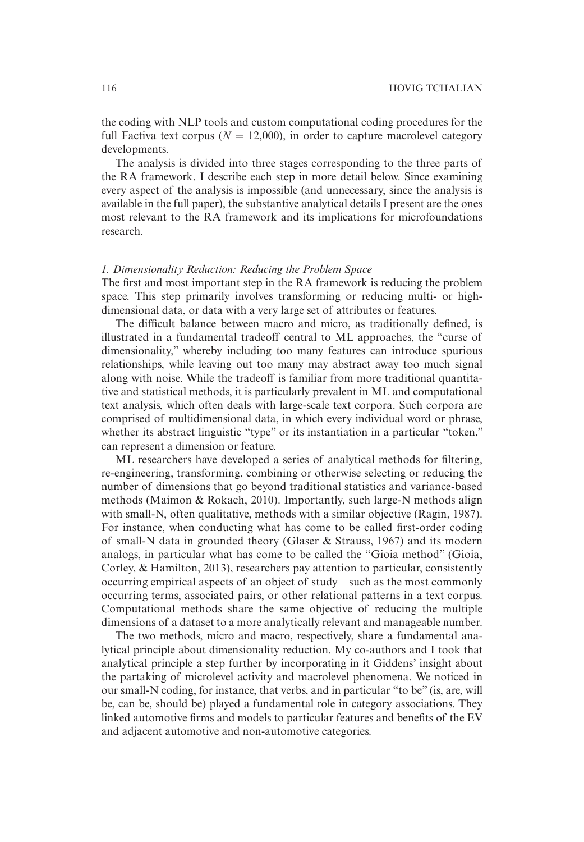the coding with NLP tools and custom computational coding procedures for the full Factiva text corpus ( $N = 12,000$ ), in order to capture macrolevel category developments.

The analysis is divided into three stages corresponding to the three parts of the RA framework. I describe each step in more detail below. Since examining every aspect of the analysis is impossible (and unnecessary, since the analysis is available in the full paper), the substantive analytical details I present are the ones most relevant to the RA framework and its implications for microfoundations research.

#### *1. Dimensionality Reduction: Reducing the Problem Space*

The first and most important step in the RA framework is reducing the problem space. This step primarily involves transforming or reducing multi- or highdimensional data, or data with a very large set of attributes or features.

The difficult balance between macro and micro, as traditionally defined, is illustrated in a fundamental tradeoff central to ML approaches, the "curse of dimensionality," whereby including too many features can introduce spurious relationships, while leaving out too many may abstract away too much signal along with noise. While the tradeoff is familiar from more traditional quantitative and statistical methods, it is particularly prevalent in ML and computational text analysis, which often deals with large-scale text corpora. Such corpora are comprised of multidimensional data, in which every individual word or phrase, whether its abstract linguistic "type" or its instantiation in a particular "token," can represent a dimension or feature.

ML researchers have developed a series of analytical methods for filtering, re-engineering, transforming, combining or otherwise selecting or reducing the number of dimensions that go beyond traditional statistics and variance-based methods (Maimon & Rokach, 2010). Importantly, such large-N methods align with small-N, often qualitative, methods with a similar objective (Ragin, 1987). For instance, when conducting what has come to be called first-order coding of small-N data in grounded theory (Glaser & Strauss, 1967) and its modern analogs, in particular what has come to be called the "Gioia method" (Gioia, Corley, & Hamilton, 2013), researchers pay attention to particular, consistently occurring empirical aspects of an object of study – such as the most commonly occurring terms, associated pairs, or other relational patterns in a text corpus. Computational methods share the same objective of reducing the multiple dimensions of a dataset to a more analytically relevant and manageable number.

The two methods, micro and macro, respectively, share a fundamental analytical principle about dimensionality reduction. My co-authors and I took that analytical principle a step further by incorporating in it Giddens' insight about the partaking of microlevel activity and macrolevel phenomena. We noticed in our small-N coding, for instance, that verbs, and in particular "to be" (is, are, will be, can be, should be) played a fundamental role in category associations. They linked automotive firms and models to particular features and benefits of the EV and adjacent automotive and non-automotive categories.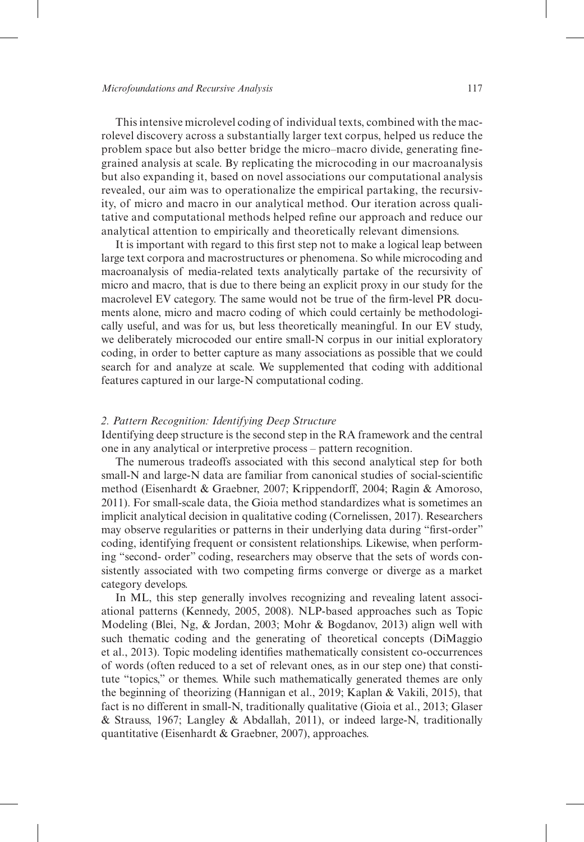This intensive microlevel coding of individual texts, combined with the macrolevel discovery across a substantially larger text corpus, helped us reduce the problem space but also better bridge the micro–macro divide, generating finegrained analysis at scale. By replicating the microcoding in our macroanalysis but also expanding it, based on novel associations our computational analysis revealed, our aim was to operationalize the empirical partaking, the recursivity, of micro and macro in our analytical method. Our iteration across qualitative and computational methods helped refine our approach and reduce our analytical attention to empirically and theoretically relevant dimensions.

It is important with regard to this first step not to make a logical leap between large text corpora and macrostructures or phenomena. So while microcoding and macroanalysis of media-related texts analytically partake of the recursivity of micro and macro, that is due to there being an explicit proxy in our study for the macrolevel EV category. The same would not be true of the firm-level PR documents alone, micro and macro coding of which could certainly be methodologically useful, and was for us, but less theoretically meaningful. In our EV study, we deliberately microcoded our entire small-N corpus in our initial exploratory coding, in order to better capture as many associations as possible that we could search for and analyze at scale. We supplemented that coding with additional features captured in our large-N computational coding.

#### *2. Pattern Recognition: Identifying Deep Structure*

Identifying deep structure is the second step in the RA framework and the central one in any analytical or interpretive process – pattern recognition.

The numerous tradeoffs associated with this second analytical step for both small-N and large-N data are familiar from canonical studies of social-scientific method (Eisenhardt & Graebner, 2007; Krippendorff, 2004; Ragin & Amoroso, 2011). For small-scale data, the Gioia method standardizes what is sometimes an implicit analytical decision in qualitative coding (Cornelissen, 2017). Researchers may observe regularities or patterns in their underlying data during "first-order" coding, identifying frequent or consistent relationships. Likewise, when performing "second- order" coding, researchers may observe that the sets of words consistently associated with two competing firms converge or diverge as a market category develops.

In ML, this step generally involves recognizing and revealing latent associational patterns (Kennedy, 2005, 2008). NLP-based approaches such as Topic Modeling (Blei, Ng, & Jordan, 2003; Mohr & Bogdanov, 2013) align well with such thematic coding and the generating of theoretical concepts (DiMaggio et al., 2013). Topic modeling identifies mathematically consistent co-occurrences of words (often reduced to a set of relevant ones, as in our step one) that constitute "topics," or themes. While such mathematically generated themes are only the beginning of theorizing (Hannigan et al., 2019; Kaplan & Vakili, 2015), that fact is no different in small-N, traditionally qualitative (Gioia et al., 2013; Glaser & Strauss, 1967; Langley & Abdallah, 2011), or indeed large-N, traditionally quantitative (Eisenhardt & Graebner, 2007), approaches.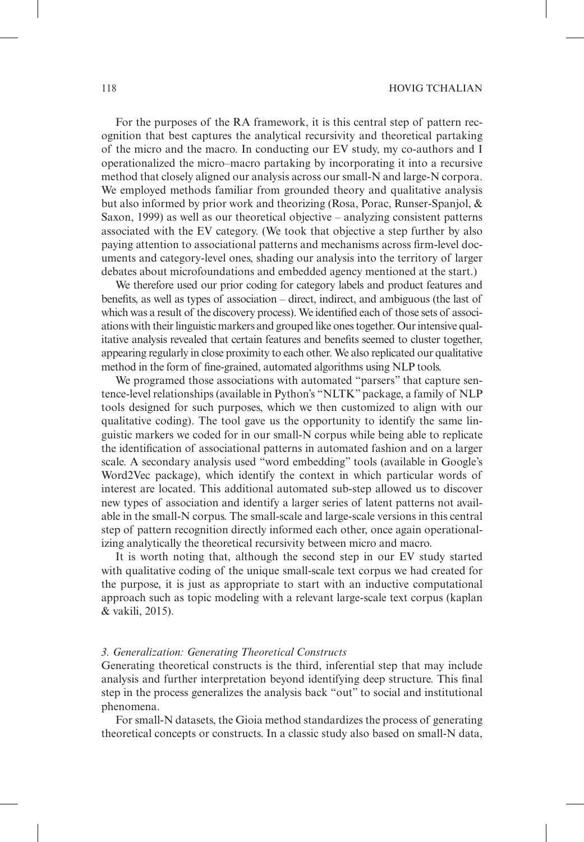For the purposes of the RA framework, it is this central step of pattern recognition that best captures the analytical recursivity and theoretical partaking of the micro and the macro. In conducting our EV study, my co-authors and I operationalized the micro–macro partaking by incorporating it into a recursive method that closely aligned our analysis across our small-N and large-N corpora. We employed methods familiar from grounded theory and qualitative analysis but also informed by prior work and theorizing (Rosa, Porac, Runser-Spanjol, & Saxon, 1999) as well as our theoretical objective – analyzing consistent patterns associated with the EV category. (We took that objective a step further by also paying attention to associational patterns and mechanisms across firm-level documents and category-level ones, shading our analysis into the territory of larger debates about microfoundations and embedded agency mentioned at the start.)

We therefore used our prior coding for category labels and product features and benefits, as well as types of association – direct, indirect, and ambiguous (the last of which was a result of the discovery process). We identified each of those sets of associations with their linguistic markers and grouped like ones together. Our intensive qualitative analysis revealed that certain features and benefits seemed to cluster together, appearing regularly in close proximity to each other. We also replicated our qualitative method in the form of fine-grained, automated algorithms using NLP tools.

We programed those associations with automated "parsers" that capture sentence-level relationships (available in Python's "NLTK" package, a family of NLP tools designed for such purposes, which we then customized to align with our qualitative coding). The tool gave us the opportunity to identify the same linguistic markers we coded for in our small-N corpus while being able to replicate the identification of associational patterns in automated fashion and on a larger scale. A secondary analysis used "word embedding" tools (available in Google's Word2Vec package), which identify the context in which particular words of interest are located. This additional automated sub-step allowed us to discover new types of association and identify a larger series of latent patterns not available in the small-N corpus. The small-scale and large-scale versions in this central step of pattern recognition directly informed each other, once again operationalizing analytically the theoretical recursivity between micro and macro.

It is worth noting that, although the second step in our EV study started with qualitative coding of the unique small-scale text corpus we had created for the purpose, it is just as appropriate to start with an inductive computational approach such as topic modeling with a relevant large-scale text corpus (kaplan & vakili, 2015).

#### *3. Generalization: Generating Theoretical Constructs*

Generating theoretical constructs is the third, inferential step that may include analysis and further interpretation beyond identifying deep structure. This final step in the process generalizes the analysis back "out" to social and institutional phenomena.

For small-N datasets, the Gioia method standardizes the process of generating theoretical concepts or constructs. In a classic study also based on small-N data,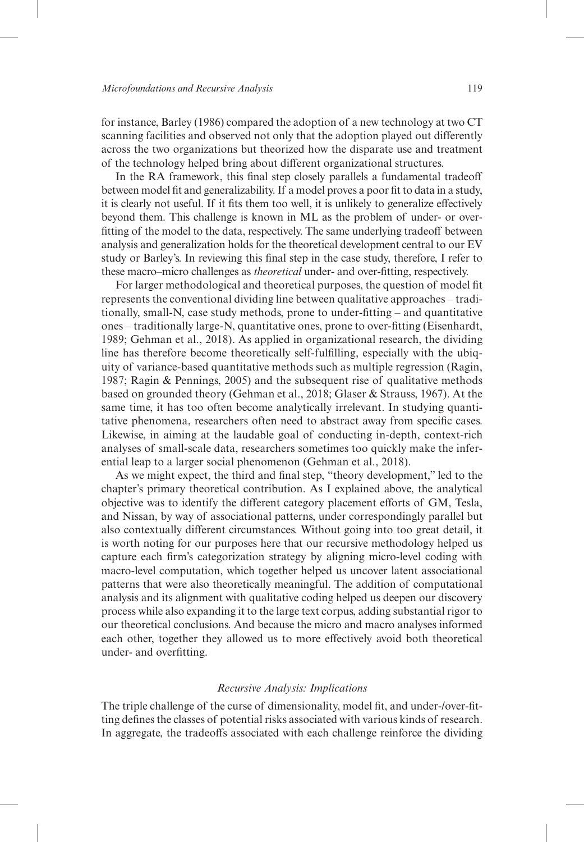for instance, Barley (1986) compared the adoption of a new technology at two CT scanning facilities and observed not only that the adoption played out differently across the two organizations but theorized how the disparate use and treatment of the technology helped bring about different organizational structures.

In the RA framework, this final step closely parallels a fundamental tradeoff between model fit and generalizability. If a model proves a poor fit to data in a study, it is clearly not useful. If it fits them too well, it is unlikely to generalize effectively beyond them. This challenge is known in ML as the problem of under- or overfitting of the model to the data, respectively. The same underlying tradeoff between analysis and generalization holds for the theoretical development central to our EV study or Barley's. In reviewing this final step in the case study, therefore, I refer to these macro–micro challenges as *theoretical* under- and over-fitting, respectively.

For larger methodological and theoretical purposes, the question of model fit represents the conventional dividing line between qualitative approaches – traditionally, small-N, case study methods, prone to under-fitting – and quantitative ones – traditionally large-N, quantitative ones, prone to over-fitting (Eisenhardt, 1989; Gehman et al., 2018). As applied in organizational research, the dividing line has therefore become theoretically self-fulfilling, especially with the ubiquity of variance-based quantitative methods such as multiple regression (Ragin, 1987; Ragin & Pennings, 2005) and the subsequent rise of qualitative methods based on grounded theory (Gehman et al., 2018; Glaser & Strauss, 1967). At the same time, it has too often become analytically irrelevant. In studying quantitative phenomena, researchers often need to abstract away from specific cases. Likewise, in aiming at the laudable goal of conducting in-depth, context-rich analyses of small-scale data, researchers sometimes too quickly make the inferential leap to a larger social phenomenon (Gehman et al., 2018).

As we might expect, the third and final step, "theory development," led to the chapter's primary theoretical contribution. As I explained above, the analytical objective was to identify the different category placement efforts of GM, Tesla, and Nissan, by way of associational patterns, under correspondingly parallel but also contextually different circumstances. Without going into too great detail, it is worth noting for our purposes here that our recursive methodology helped us capture each firm's categorization strategy by aligning micro-level coding with macro-level computation, which together helped us uncover latent associational patterns that were also theoretically meaningful. The addition of computational analysis and its alignment with qualitative coding helped us deepen our discovery process while also expanding it to the large text corpus, adding substantial rigor to our theoretical conclusions. And because the micro and macro analyses informed each other, together they allowed us to more effectively avoid both theoretical under- and overfitting.

#### *Recursive Analysis: Implications*

The triple challenge of the curse of dimensionality, model fit, and under-/over-fitting defines the classes of potential risks associated with various kinds of research. In aggregate, the tradeoffs associated with each challenge reinforce the dividing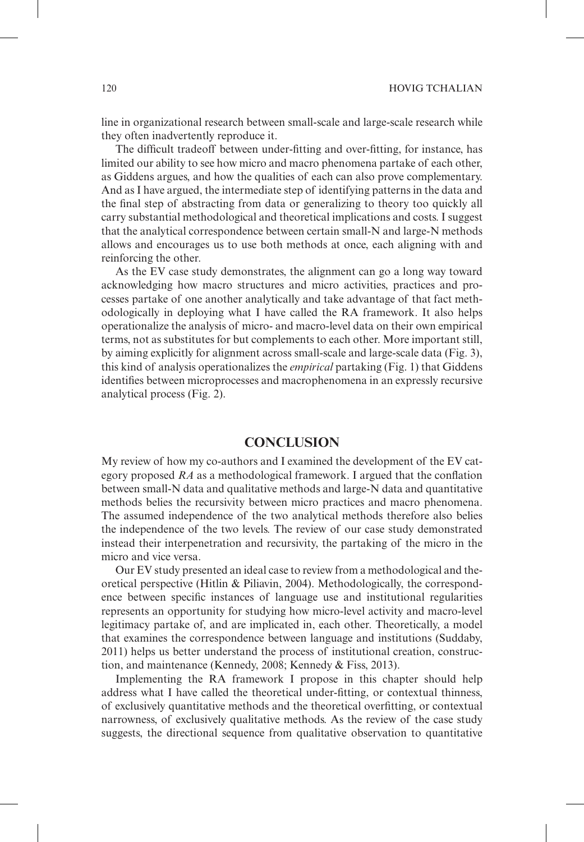line in organizational research between small-scale and large-scale research while they often inadvertently reproduce it.

The difficult tradeoff between under-fitting and over-fitting, for instance, has limited our ability to see how micro and macro phenomena partake of each other, as Giddens argues, and how the qualities of each can also prove complementary. And as I have argued, the intermediate step of identifying patterns in the data and the final step of abstracting from data or generalizing to theory too quickly all carry substantial methodological and theoretical implications and costs. I suggest that the analytical correspondence between certain small-N and large-N methods allows and encourages us to use both methods at once, each aligning with and reinforcing the other.

As the EV case study demonstrates, the alignment can go a long way toward acknowledging how macro structures and micro activities, practices and processes partake of one another analytically and take advantage of that fact methodologically in deploying what I have called the RA framework. It also helps operationalize the analysis of micro- and macro-level data on their own empirical terms, not as substitutes for but complements to each other. More important still, by aiming explicitly for alignment across small-scale and large-scale data (Fig. 3), this kind of analysis operationalizes the *empirical* partaking (Fig. 1) that Giddens identifies between microprocesses and macrophenomena in an expressly recursive analytical process (Fig. 2).

## **Conclusion**

My review of how my co-authors and I examined the development of the EV category proposed *RA* as a methodological framework. I argued that the conflation between small-N data and qualitative methods and large-N data and quantitative methods belies the recursivity between micro practices and macro phenomena. The assumed independence of the two analytical methods therefore also belies the independence of the two levels. The review of our case study demonstrated instead their interpenetration and recursivity, the partaking of the micro in the micro and vice versa.

Our EV study presented an ideal case to review from a methodological and theoretical perspective (Hitlin & Piliavin, 2004). Methodologically, the correspondence between specific instances of language use and institutional regularities represents an opportunity for studying how micro-level activity and macro-level legitimacy partake of, and are implicated in, each other. Theoretically, a model that examines the correspondence between language and institutions (Suddaby, 2011) helps us better understand the process of institutional creation, construction, and maintenance (Kennedy, 2008; Kennedy & Fiss, 2013).

Implementing the RA framework I propose in this chapter should help address what I have called the theoretical under-fitting, or contextual thinness, of exclusively quantitative methods and the theoretical overfitting, or contextual narrowness, of exclusively qualitative methods. As the review of the case study suggests, the directional sequence from qualitative observation to quantitative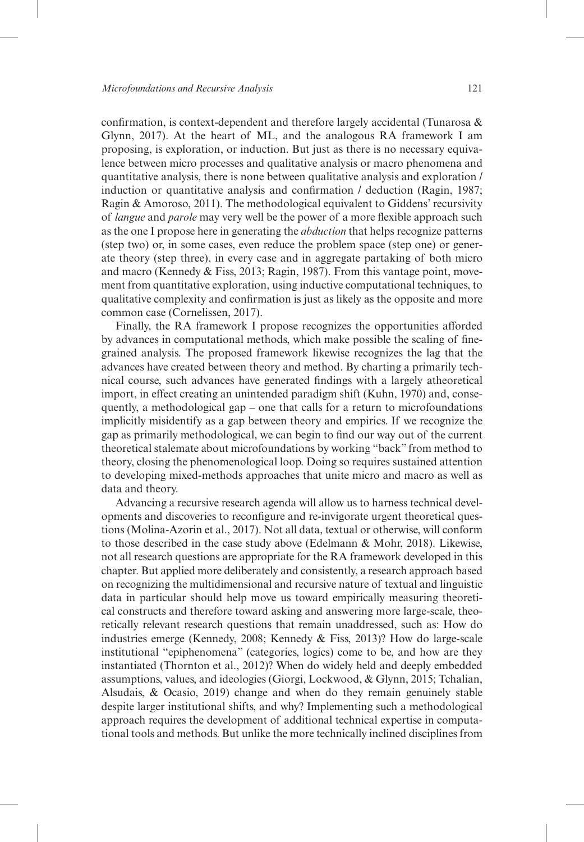confirmation, is context-dependent and therefore largely accidental (Tunarosa & Glynn, 2017). At the heart of ML, and the analogous RA framework I am proposing, is exploration, or induction. But just as there is no necessary equivalence between micro processes and qualitative analysis or macro phenomena and quantitative analysis, there is none between qualitative analysis and exploration / induction or quantitative analysis and confirmation / deduction (Ragin, 1987; Ragin & Amoroso, 2011). The methodological equivalent to Giddens' recursivity of *langue* and *parole* may very well be the power of a more flexible approach such as the one I propose here in generating the *abduction* that helps recognize patterns (step two) or, in some cases, even reduce the problem space (step one) or generate theory (step three), in every case and in aggregate partaking of both micro and macro (Kennedy & Fiss, 2013; Ragin, 1987). From this vantage point, movement from quantitative exploration, using inductive computational techniques, to qualitative complexity and confirmation is just as likely as the opposite and more common case (Cornelissen, 2017).

Finally, the RA framework I propose recognizes the opportunities afforded by advances in computational methods, which make possible the scaling of finegrained analysis. The proposed framework likewise recognizes the lag that the advances have created between theory and method. By charting a primarily technical course, such advances have generated findings with a largely atheoretical import, in effect creating an unintended paradigm shift (Kuhn, 1970) and, consequently, a methodological gap – one that calls for a return to microfoundations implicitly misidentify as a gap between theory and empirics. If we recognize the gap as primarily methodological, we can begin to find our way out of the current theoretical stalemate about microfoundations by working "back" from method to theory, closing the phenomenological loop. Doing so requires sustained attention to developing mixed-methods approaches that unite micro and macro as well as data and theory.

Advancing a recursive research agenda will allow us to harness technical developments and discoveries to reconfigure and re-invigorate urgent theoretical questions (Molina-Azorin et al., 2017). Not all data, textual or otherwise, will conform to those described in the case study above (Edelmann & Mohr, 2018). Likewise, not all research questions are appropriate for the RA framework developed in this chapter. But applied more deliberately and consistently, a research approach based on recognizing the multidimensional and recursive nature of textual and linguistic data in particular should help move us toward empirically measuring theoretical constructs and therefore toward asking and answering more large-scale, theoretically relevant research questions that remain unaddressed, such as: How do industries emerge (Kennedy, 2008; Kennedy & Fiss, 2013)? How do large-scale institutional "epiphenomena" (categories, logics) come to be, and how are they instantiated (Thornton et al., 2012)? When do widely held and deeply embedded assumptions, values, and ideologies (Giorgi, Lockwood, & Glynn, 2015; Tchalian, Alsudais, & Ocasio, 2019) change and when do they remain genuinely stable despite larger institutional shifts, and why? Implementing such a methodological approach requires the development of additional technical expertise in computational tools and methods. But unlike the more technically inclined disciplines from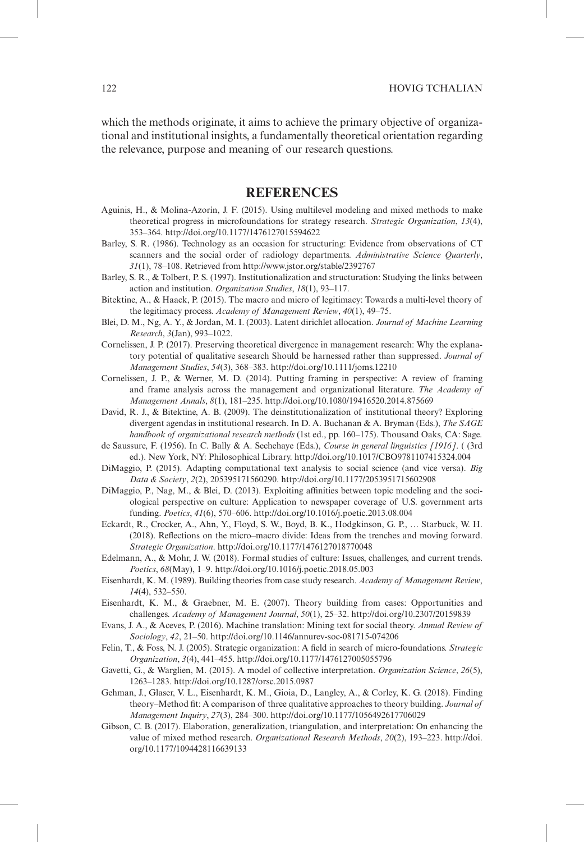which the methods originate, it aims to achieve the primary objective of organizational and institutional insights, a fundamentally theoretical orientation regarding the relevance, purpose and meaning of our research questions.

## **References**

- Aguinis, H., & Molina-Azorín, J. F. (2015). Using multilevel modeling and mixed methods to make theoretical progress in microfoundations for strategy research. *Strategic Organization*, *13*(4), 353–364. http://doi.org/10.1177/1476127015594622
- Barley, S. R. (1986). Technology as an occasion for structuring: Evidence from observations of CT scanners and the social order of radiology departments. *Administrative Science Quarterly*, *31*(1), 78–108. Retrieved from http://www.jstor.org/stable/2392767
- Barley, S. R., & Tolbert, P. S. (1997). Institutionalization and structuration: Studying the links between action and institution. *Organization Studies*, *18*(1), 93–117.
- Bitektine, A., & Haack, P. (2015). The macro and micro of legitimacy: Towards a multi-level theory of the legitimacy process. *Academy of Management Review*, *40*(1), 49–75.
- Blei, D. M., Ng, A. Y., & Jordan, M. I. (2003). Latent dirichlet allocation. *Journal of Machine Learning Research*, *3*(Jan), 993–1022.
- Cornelissen, J. P. (2017). Preserving theoretical divergence in management research: Why the explanatory potential of qualitative sesearch Should be harnessed rather than suppressed. *Journal of Management Studies*, *54*(3), 368–383. http://doi.org/10.1111/joms.12210
- Cornelissen, J. P., & Werner, M. D. (2014). Putting framing in perspective: A review of framing and frame analysis across the management and organizational literature. *The Academy of Management Annals*, *8*(1), 181–235. http://doi.org/10.1080/19416520.2014.875669
- David, R. J., & Bitektine, A. B. (2009). The deinstitutionalization of institutional theory? Exploring divergent agendas in institutional research. In D. A. Buchanan & A. Bryman (Eds.), *The SAGE handbook of organizational research methods* (1st ed., pp. 160–175). Thousand Oaks, CA: Sage.
- de Saussure, F. (1956). In C. Bally & A. Sechehaye (Eds.), *Course in general linguistics [1916]*. ( (3rd ed.). New York, NY: Philosophical Library. http://doi.org/10.1017/CBO9781107415324.004
- DiMaggio, P. (2015). Adapting computational text analysis to social science (and vice versa). *Big Data & Society*, *2*(2), 205395171560290. http://doi.org/10.1177/2053951715602908
- DiMaggio, P., Nag, M., & Blei, D. (2013). Exploiting affinities between topic modeling and the sociological perspective on culture: Application to newspaper coverage of U.S. government arts funding. *Poetics*, *41*(6), 570–606. http://doi.org/10.1016/j.poetic.2013.08.004
- Eckardt, R., Crocker, A., Ahn, Y., Floyd, S. W., Boyd, B. K., Hodgkinson, G. P., … Starbuck, W. H. (2018). Reflections on the micro–macro divide: Ideas from the trenches and moving forward. *Strategic Organization*. http://doi.org/10.1177/1476127018770048
- Edelmann, A., & Mohr, J. W. (2018). Formal studies of culture: Issues, challenges, and current trends. *Poetics*, *68*(May), 1–9. http://doi.org/10.1016/j.poetic.2018.05.003
- Eisenhardt, K. M. (1989). Building theories from case study research. *Academy of Management Review*, *14*(4), 532–550.
- Eisenhardt, K. M., & Graebner, M. E. (2007). Theory building from cases: Opportunities and challenges. *Academy of Management Journal*, *50*(1), 25–32. http://doi.org/10.2307/20159839
- Evans, J. A., & Aceves, P. (2016). Machine translation: Mining text for social theory. *Annual Review of Sociology*, *42*, 21–50. http://doi.org/10.1146/annurev-soc-081715-074206
- Felin, T., & Foss, N. J. (2005). Strategic organization: A field in search of micro-foundations. *Strategic Organization*, *3*(4), 441–455. http://doi.org/10.1177/1476127005055796
- Gavetti, G., & Warglien, M. (2015). A model of collective interpretation. *Organization Science*, *26*(5), 1263–1283. http://doi.org/10.1287/orsc.2015.0987
- Gehman, J., Glaser, V. L., Eisenhardt, K. M., Gioia, D., Langley, A., & Corley, K. G. (2018). Finding theory–Method fit: A comparison of three qualitative approaches to theory building. *Journal of Management Inquiry*, *27*(3), 284–300. http://doi.org/10.1177/1056492617706029
- Gibson, C. B. (2017). Elaboration, generalization, triangulation, and interpretation: On enhancing the value of mixed method research. *Organizational Research Methods*, *20*(2), 193–223. http://doi. org/10.1177/1094428116639133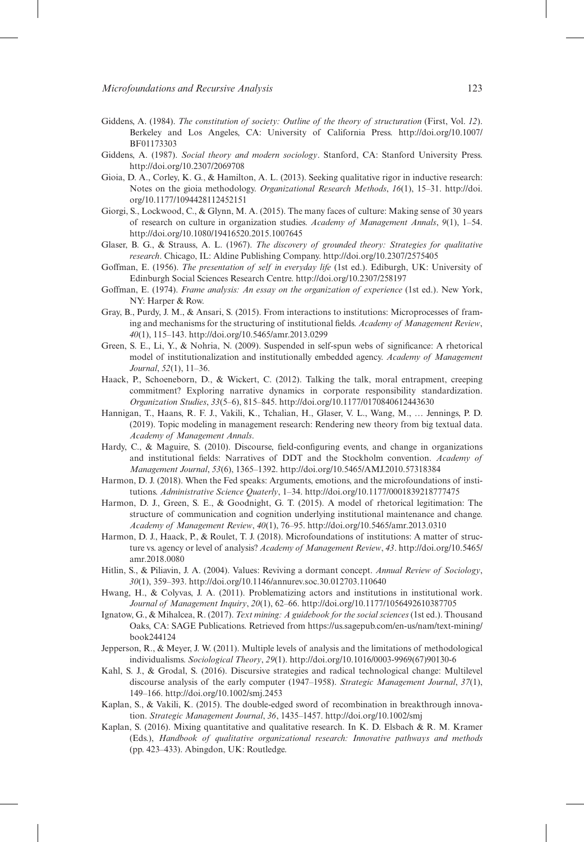- Giddens, A. (1984). *The constitution of society: Outline of the theory of structuration* (First, Vol. *12*). Berkeley and Los Angeles, CA: University of California Press. http://doi.org/10.1007/ BF01173303
- Giddens, A. (1987). *Social theory and modern sociology*. Stanford, CA: Stanford University Press. http://doi.org/10.2307/2069708
- Gioia, D. A., Corley, K. G., & Hamilton, A. L. (2013). Seeking qualitative rigor in inductive research: Notes on the gioia methodology. *Organizational Research Methods*, *16*(1), 15–31. http://doi. org/10.1177/1094428112452151
- Giorgi, S., Lockwood, C., & Glynn, M. A. (2015). The many faces of culture: Making sense of 30 years of research on culture in organization studies. *Academy of Management Annals*, *9*(1), 1–54. http://doi.org/10.1080/19416520.2015.1007645
- Glaser, B. G., & Strauss, A. L. (1967). *The discovery of grounded theory: Strategies for qualitative research*. Chicago, IL: Aldine Publishing Company. http://doi.org/10.2307/2575405
- Goffman, E. (1956). *The presentation of self in everyday life* (1st ed.). Ediburgh, UK: University of Edinburgh Social Sciences Research Centre. http://doi.org/10.2307/258197
- Goffman, E. (1974). *Frame analysis: An essay on the organization of experience* (1st ed.). New York, NY: Harper & Row.
- Gray, B., Purdy, J. M., & Ansari, S. (2015). From interactions to institutions: Microprocesses of framing and mechanisms for the structuring of institutional fields. *Academy of Management Review*, *40*(1), 115–143. http://doi.org/10.5465/amr.2013.0299
- Green, S. E., Li, Y., & Nohria, N. (2009). Suspended in self-spun webs of significance: A rhetorical model of institutionalization and institutionally embedded agency. *Academy of Management Journal*, *52*(1), 11–36.
- Haack, P., Schoeneborn, D., & Wickert, C. (2012). Talking the talk, moral entrapment, creeping commitment? Exploring narrative dynamics in corporate responsibility standardization. *Organization Studies*, *33*(5–6), 815–845. http://doi.org/10.1177/0170840612443630
- Hannigan, T., Haans, R. F. J., Vakili, K., Tchalian, H., Glaser, V. L., Wang, M., … Jennings, P. D. (2019). Topic modeling in management research: Rendering new theory from big textual data. *Academy of Management Annals*.
- Hardy, C., & Maguire, S. (2010). Discourse, field-configuring events, and change in organizations and institutional fields: Narratives of DDT and the Stockholm convention. *Academy of Management Journal*, *53*(6), 1365–1392. http://doi.org/10.5465/AMJ.2010.57318384
- Harmon, D. J. (2018). When the Fed speaks: Arguments, emotions, and the microfoundations of institutions. *Administrative Science Quaterly*, 1–34. http://doi.org/10.1177/0001839218777475
- Harmon, D. J., Green, S. E., & Goodnight, G. T. (2015). A model of rhetorical legitimation: The structure of communication and cognition underlying institutional maintenance and change. *Academy of Management Review*, *40*(1), 76–95. http://doi.org/10.5465/amr.2013.0310
- Harmon, D. J., Haack, P., & Roulet, T. J. (2018). Microfoundations of institutions: A matter of structure vs. agency or level of analysis? *Academy of Management Review*, *43*. http://doi.org/10.5465/ amr.2018.0080
- Hitlin, S., & Piliavin, J. A. (2004). Values: Reviving a dormant concept. *Annual Review of Sociology*, *30*(1), 359–393. http://doi.org/10.1146/annurev.soc.30.012703.110640
- Hwang, H., & Colyvas, J. A. (2011). Problematizing actors and institutions in institutional work. *Journal of Management Inquiry*, *20*(1), 62–66. http://doi.org/10.1177/1056492610387705
- Ignatow, G., & Mihalcea, R. (2017). *Text mining: A guidebook for the social sciences* (1st ed.). Thousand Oaks, CA: SAGE Publications. Retrieved from https://us.sagepub.com/en-us/nam/text-mining/ book244124
- Jepperson, R., & Meyer, J. W. (2011). Multiple levels of analysis and the limitations of methodological individualisms. *Sociological Theory*, *29*(1). http://doi.org/10.1016/0003-9969(67)90130-6
- Kahl, S. J., & Grodal, S. (2016). Discursive strategies and radical technological change: Multilevel discourse analysis of the early computer (1947–1958). *Strategic Management Journal*, *37*(1), 149–166. http://doi.org/10.1002/smj.2453
- Kaplan, S., & Vakili, K. (2015). The double-edged sword of recombination in breakthrough innovation. *Strategic Management Journal*, *36*, 1435–1457. http://doi.org/10.1002/smj
- Kaplan, S. (2016). Mixing quantitative and qualitative research. In K. D. Elsbach & R. M. Kramer (Eds.), *Handbook of qualitative organizational research: Innovative pathways and methods* (pp. 423–433). Abingdon, UK: Routledge.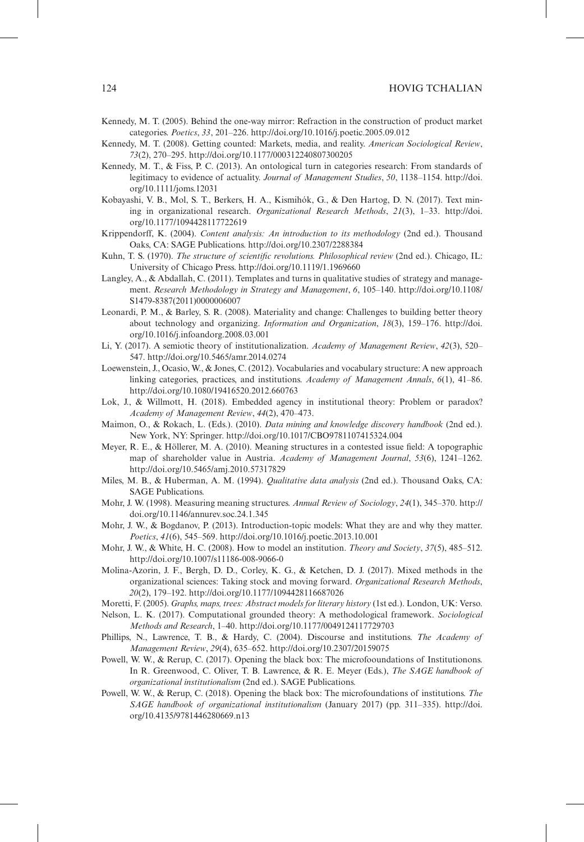#### 124 HOVIG TCHALIAN

- Kennedy, M. T. (2005). Behind the one-way mirror: Refraction in the construction of product market categories. *Poetics*, *33*, 201–226. http://doi.org/10.1016/j.poetic.2005.09.012
- Kennedy, M. T. (2008). Getting counted: Markets, media, and reality. *American Sociological Review*, *73*(2), 270–295. http://doi.org/10.1177/000312240807300205
- Kennedy, M. T., & Fiss, P. C. (2013). An ontological turn in categories research: From standards of legitimacy to evidence of actuality. *Journal of Management Studies*, *50*, 1138–1154. http://doi. org/10.1111/joms.12031
- Kobayashi, V. B., Mol, S. T., Berkers, H. A., Kismihók, G., & Den Hartog, D. N. (2017). Text mining in organizational research. *Organizational Research Methods*, *21*(3), 1–33. http://doi. org/10.1177/1094428117722619
- Krippendorff, K. (2004). *Content analysis: An introduction to its methodology* (2nd ed.). Thousand Oaks, CA: SAGE Publications. http://doi.org/10.2307/2288384
- Kuhn, T. S. (1970). *The structure of scientific revolutions. Philosophical review* (2nd ed.). Chicago, IL: University of Chicago Press. http://doi.org/10.1119/1.1969660
- Langley, A., & Abdallah, C. (2011). Templates and turns in qualitative studies of strategy and management. *Research Methodology in Strategy and Management*, *6*, 105–140. http://doi.org/10.1108/ S1479-8387(2011)0000006007
- Leonardi, P. M., & Barley, S. R. (2008). Materiality and change: Challenges to building better theory about technology and organizing. *Information and Organization*, *18*(3), 159–176. http://doi. org/10.1016/j.infoandorg.2008.03.001
- Li, Y. (2017). A semiotic theory of institutionalization. *Academy of Management Review*, *42*(3), 520– 547. http://doi.org/10.5465/amr.2014.0274
- Loewenstein, J., Ocasio, W., & Jones, C. (2012). Vocabularies and vocabulary structure: A new approach linking categories, practices, and institutions. *Academy of Management Annals*, *6*(1), 41–86. http://doi.org/10.1080/19416520.2012.660763
- Lok, J., & Willmott, H. (2018). Embedded agency in institutional theory: Problem or paradox? *Academy of Management Review*, *44*(2), 470–473.
- Maimon, O., & Rokach, L. (Eds.). (2010). *Data mining and knowledge discovery handbook* (2nd ed.). New York, NY: Springer. http://doi.org/10.1017/CBO9781107415324.004
- Meyer, R. E., & Höllerer, M. A. (2010). Meaning structures in a contested issue field: A topographic map of shareholder value in Austria. *Academy of Management Journal*, *53*(6), 1241–1262. http://doi.org/10.5465/amj.2010.57317829
- Miles, M. B., & Huberman, A. M. (1994). *Qualitative data analysis* (2nd ed.). Thousand Oaks, CA: SAGE Publications.
- Mohr, J. W. (1998). Measuring meaning structures. *Annual Review of Sociology*, *24*(1), 345–370. http:// doi.org/10.1146/annurev.soc.24.1.345
- Mohr, J. W., & Bogdanov, P. (2013). Introduction-topic models: What they are and why they matter. *Poetics*, *41*(6), 545–569. http://doi.org/10.1016/j.poetic.2013.10.001
- Mohr, J. W., & White, H. C. (2008). How to model an institution. *Theory and Society*, *37*(5), 485–512. http://doi.org/10.1007/s11186-008-9066-0
- Molina-Azorin, J. F., Bergh, D. D., Corley, K. G., & Ketchen, D. J. (2017). Mixed methods in the organizational sciences: Taking stock and moving forward. *Organizational Research Methods*, *20*(2), 179–192. http://doi.org/10.1177/1094428116687026
- Moretti, F. (2005). *Graphs, maps, trees: Abstract models for literary history* (1st ed.). London, UK: Verso.
- Nelson, L. K. (2017). Computational grounded theory: A methodological framework. *Sociological Methods and Research*, 1–40. http://doi.org/10.1177/0049124117729703
- Phillips, N., Lawrence, T. B., & Hardy, C. (2004). Discourse and institutions. *The Academy of Management Review*, *29*(4), 635–652. http://doi.org/10.2307/20159075
- Powell, W. W., & Rerup, C. (2017). Opening the black box: The microfooundations of Institutionons. In R. Greenwood, C. Oliver, T. B. Lawrence, & R. E. Meyer (Eds.), *The SAGE handbook of organizational institutionalism* (2nd ed.). SAGE Publications.
- Powell, W. W., & Rerup, C. (2018). Opening the black box: The microfoundations of institutions. *The SAGE handbook of organizational institutionalism* (January 2017) (pp. 311–335). http://doi. org/10.4135/9781446280669.n13